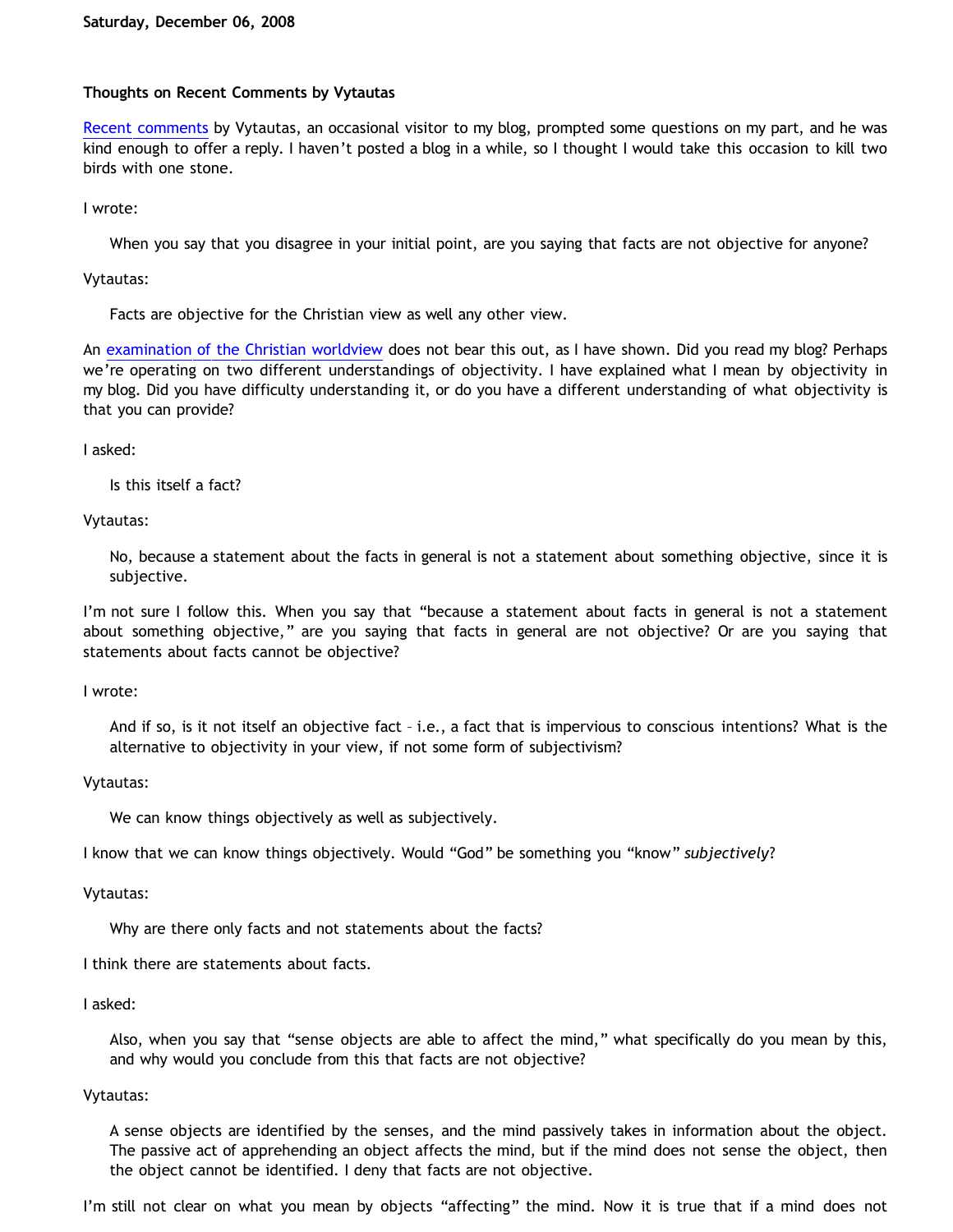### **Thoughts on Recent Comments by Vytautas**

[Recent comments](http://bahnsenburner.blogspot.com/2008/11/rival-philosophies-of-fact.html) by Vytautas, an occasional visitor to my blog, prompted some questions on my part, and he was kind enough to offer a reply. I haven't posted a blog in a while, so I thought I would take this occasion to kill two birds with one stone.

I wrote:

When you say that you disagree in your initial point, are you saying that facts are not objective for anyone?

Vytautas:

Facts are objective for the Christian view as well any other view.

An [examination of the Christian worldview](http://bahnsenburner.blogspot.com/2008/11/rival-philosophies-of-fact.html) does not bear this out, as I have shown. Did you read my blog? Perhaps we're operating on two different understandings of objectivity. I have explained what I mean by objectivity in my blog. Did you have difficulty understanding it, or do you have a different understanding of what objectivity is that you can provide?

I asked:

Is this itself a fact?

Vytautas:

No, because a statement about the facts in general is not a statement about something objective, since it is subjective.

I'm not sure I follow this. When you say that "because a statement about facts in general is not a statement about something objective," are you saying that facts in general are not objective? Or are you saying that statements about facts cannot be objective?

I wrote:

And if so, is it not itself an objective fact – i.e., a fact that is impervious to conscious intentions? What is the alternative to objectivity in your view, if not some form of subjectivism?

Vytautas:

We can know things objectively as well as subjectively.

I know that we can know things objectively. Would "God" be something you "know" *subjectively*?

Vytautas:

Why are there only facts and not statements about the facts?

I think there are statements about facts.

I asked:

Also, when you say that "sense objects are able to affect the mind," what specifically do you mean by this, and why would you conclude from this that facts are not objective?

### Vytautas:

A sense objects are identified by the senses, and the mind passively takes in information about the object. The passive act of apprehending an object affects the mind, but if the mind does not sense the object, then the object cannot be identified. I deny that facts are not objective.

I'm still not clear on what you mean by objects "affecting" the mind. Now it is true that if a mind does not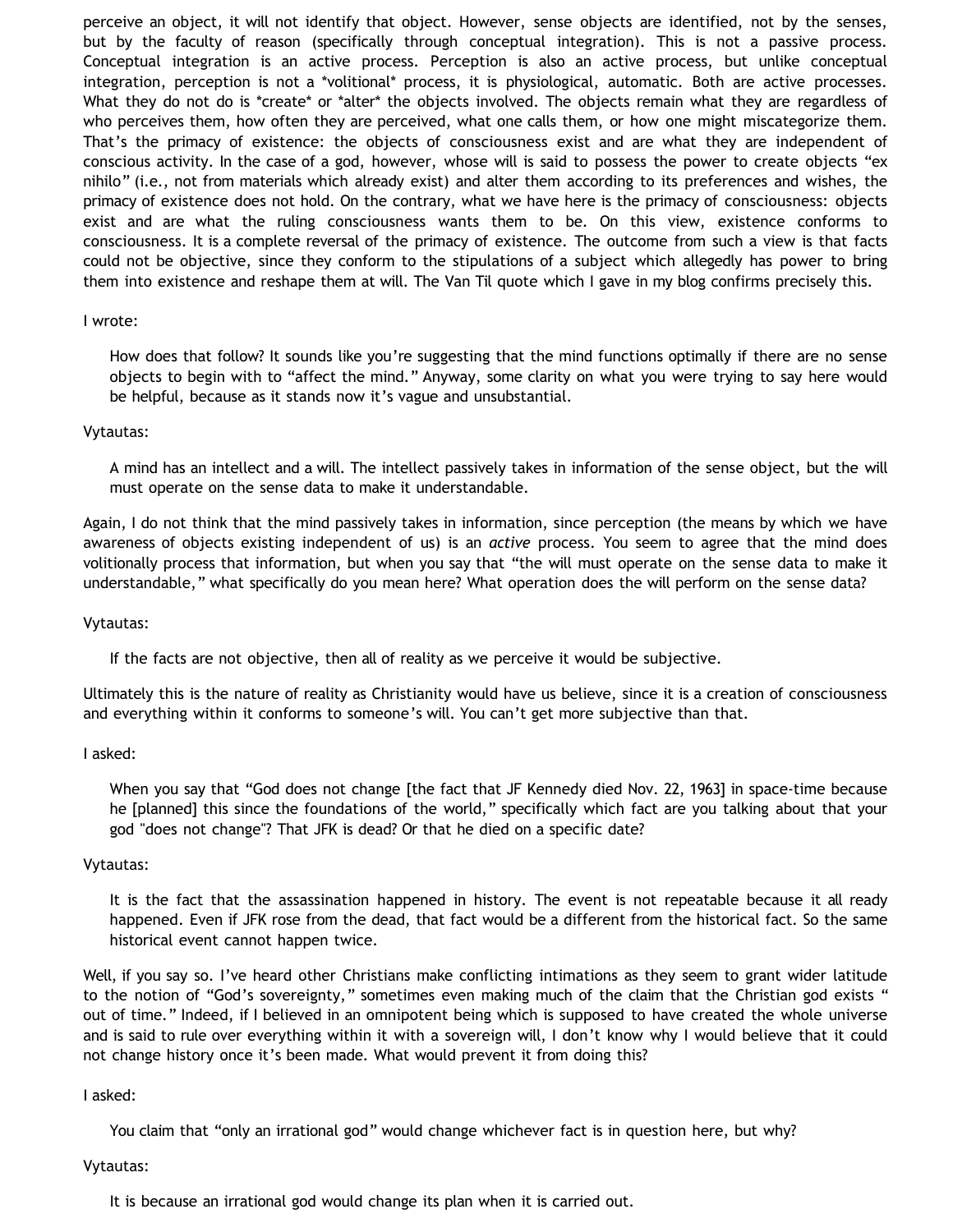perceive an object, it will not identify that object. However, sense objects are identified, not by the senses, but by the faculty of reason (specifically through conceptual integration). This is not a passive process. Conceptual integration is an active process. Perception is also an active process, but unlike conceptual integration, perception is not a \*volitional\* process, it is physiological, automatic. Both are active processes. What they do not do is \*create\* or \*alter\* the objects involved. The objects remain what they are regardless of who perceives them, how often they are perceived, what one calls them, or how one might miscategorize them. That's the primacy of existence: the objects of consciousness exist and are what they are independent of conscious activity. In the case of a god, however, whose will is said to possess the power to create objects "ex nihilo" (i.e., not from materials which already exist) and alter them according to its preferences and wishes, the primacy of existence does not hold. On the contrary, what we have here is the primacy of consciousness: objects exist and are what the ruling consciousness wants them to be. On this view, existence conforms to consciousness. It is a complete reversal of the primacy of existence. The outcome from such a view is that facts could not be objective, since they conform to the stipulations of a subject which allegedly has power to bring them into existence and reshape them at will. The Van Til quote which I gave in my blog confirms precisely this.

#### I wrote:

How does that follow? It sounds like you're suggesting that the mind functions optimally if there are no sense objects to begin with to "affect the mind." Anyway, some clarity on what you were trying to say here would be helpful, because as it stands now it's vague and unsubstantial.

#### Vytautas:

A mind has an intellect and a will. The intellect passively takes in information of the sense object, but the will must operate on the sense data to make it understandable.

Again, I do not think that the mind passively takes in information, since perception (the means by which we have awareness of objects existing independent of us) is an *active* process. You seem to agree that the mind does volitionally process that information, but when you say that "the will must operate on the sense data to make it understandable," what specifically do you mean here? What operation does the will perform on the sense data?

#### Vytautas:

If the facts are not objective, then all of reality as we perceive it would be subjective.

Ultimately this is the nature of reality as Christianity would have us believe, since it is a creation of consciousness and everything within it conforms to someone's will. You can't get more subjective than that.

#### I asked:

When you say that "God does not change [the fact that JF Kennedy died Nov. 22, 1963] in space-time because he [planned] this since the foundations of the world," specifically which fact are you talking about that your god "does not change"? That JFK is dead? Or that he died on a specific date?

#### Vytautas:

It is the fact that the assassination happened in history. The event is not repeatable because it all ready happened. Even if JFK rose from the dead, that fact would be a different from the historical fact. So the same historical event cannot happen twice.

Well, if you say so. I've heard other Christians make conflicting intimations as they seem to grant wider latitude to the notion of "God's sovereignty," sometimes even making much of the claim that the Christian god exists " out of time." Indeed, if I believed in an omnipotent being which is supposed to have created the whole universe and is said to rule over everything within it with a sovereign will, I don't know why I would believe that it could not change history once it's been made. What would prevent it from doing this?

#### I asked:

You claim that "only an irrational god" would change whichever fact is in question here, but why?

### Vytautas:

It is because an irrational god would change its plan when it is carried out.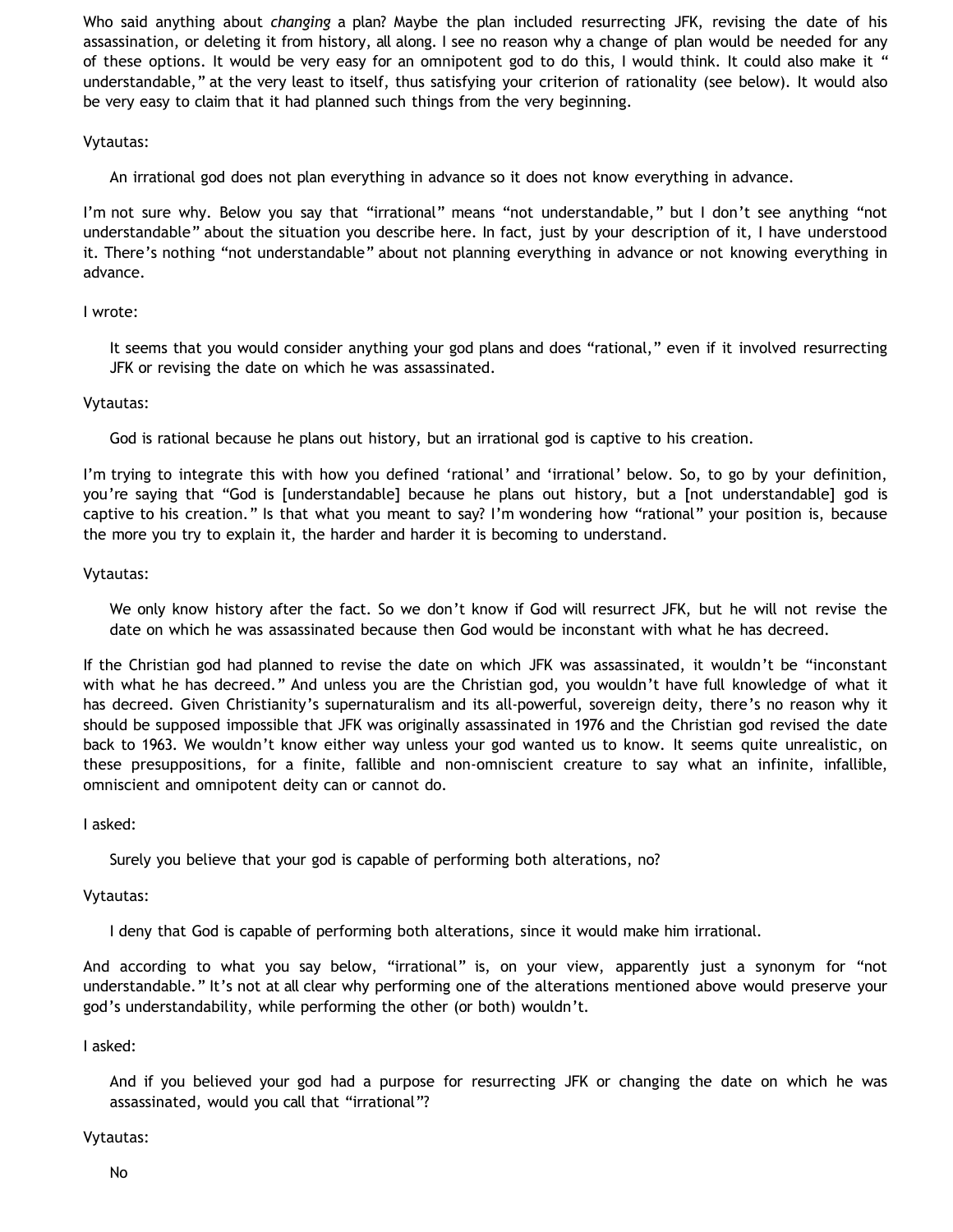Who said anything about *changing* a plan? Maybe the plan included resurrecting JFK, revising the date of his assassination, or deleting it from history, all along. I see no reason why a change of plan would be needed for any of these options. It would be very easy for an omnipotent god to do this, I would think. It could also make it " understandable," at the very least to itself, thus satisfying your criterion of rationality (see below). It would also be very easy to claim that it had planned such things from the very beginning.

# Vytautas:

An irrational god does not plan everything in advance so it does not know everything in advance.

I'm not sure why. Below you say that "irrational" means "not understandable," but I don't see anything "not understandable" about the situation you describe here. In fact, just by your description of it, I have understood it. There's nothing "not understandable" about not planning everything in advance or not knowing everything in advance.

## I wrote:

It seems that you would consider anything your god plans and does "rational," even if it involved resurrecting JFK or revising the date on which he was assassinated.

## Vytautas:

God is rational because he plans out history, but an irrational god is captive to his creation.

I'm trying to integrate this with how you defined 'rational' and 'irrational' below. So, to go by your definition, you're saying that "God is [understandable] because he plans out history, but a [not understandable] god is captive to his creation." Is that what you meant to say? I'm wondering how "rational" your position is, because the more you try to explain it, the harder and harder it is becoming to understand.

## Vytautas:

We only know history after the fact. So we don't know if God will resurrect JFK, but he will not revise the date on which he was assassinated because then God would be inconstant with what he has decreed.

If the Christian god had planned to revise the date on which JFK was assassinated, it wouldn't be "inconstant with what he has decreed." And unless you are the Christian god, you wouldn't have full knowledge of what it has decreed. Given Christianity's supernaturalism and its all-powerful, sovereign deity, there's no reason why it should be supposed impossible that JFK was originally assassinated in 1976 and the Christian god revised the date back to 1963. We wouldn't know either way unless your god wanted us to know. It seems quite unrealistic, on these presuppositions, for a finite, fallible and non-omniscient creature to say what an infinite, infallible, omniscient and omnipotent deity can or cannot do.

I asked:

Surely you believe that your god is capable of performing both alterations, no?

# Vytautas:

I deny that God is capable of performing both alterations, since it would make him irrational.

And according to what you say below, "irrational" is, on your view, apparently just a synonym for "not understandable." It's not at all clear why performing one of the alterations mentioned above would preserve your god's understandability, while performing the other (or both) wouldn't.

### I asked:

And if you believed your god had a purpose for resurrecting JFK or changing the date on which he was assassinated, would you call that "irrational"?

### Vytautas: